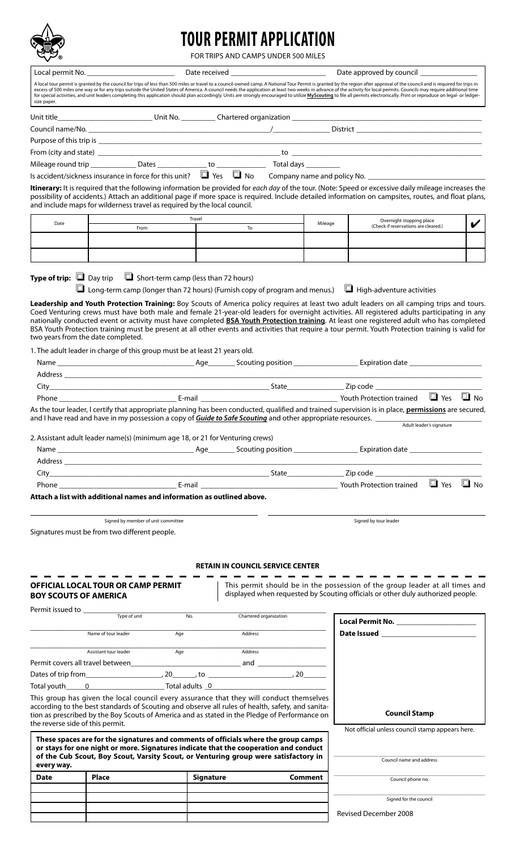

# **TOUR PERMIT APPLICATION**

FOR TRIPS AND CAMPS UNDER 500 MILES

|                                      | Local permit No. _____________________________                                                                                                                                                                                                                                                |                                             |                        | Date received ____________________________ |         | Date approved by council ____________                                                                                                                                                                                                                                                                                                                                                                                                                                                                                                                                                                                                                                                                                        |           |
|--------------------------------------|-----------------------------------------------------------------------------------------------------------------------------------------------------------------------------------------------------------------------------------------------------------------------------------------------|---------------------------------------------|------------------------|--------------------------------------------|---------|------------------------------------------------------------------------------------------------------------------------------------------------------------------------------------------------------------------------------------------------------------------------------------------------------------------------------------------------------------------------------------------------------------------------------------------------------------------------------------------------------------------------------------------------------------------------------------------------------------------------------------------------------------------------------------------------------------------------------|-----------|
| size paper.                          |                                                                                                                                                                                                                                                                                               |                                             |                        |                                            |         | A local tour permit is granted by the council for trips of less than 500 miles or travel to a council-owned camp. A National Tour Permit is granted by the region after approval of the council and is required for trips in<br>excess of 500 miles one way or for any trips outside the United States of America. A council needs the application at least two weeks in advance of the activity for local permits. Councils may require additional time<br>for special activities, and unit leaders completing this application should plan accordingly. Units are strongly encouraged to utilize MyScouting to file all permits electronically. Print or reproduce on legal- or ledger-                                    |           |
|                                      |                                                                                                                                                                                                                                                                                               |                                             |                        |                                            |         |                                                                                                                                                                                                                                                                                                                                                                                                                                                                                                                                                                                                                                                                                                                              |           |
|                                      |                                                                                                                                                                                                                                                                                               |                                             |                        |                                            |         |                                                                                                                                                                                                                                                                                                                                                                                                                                                                                                                                                                                                                                                                                                                              |           |
|                                      |                                                                                                                                                                                                                                                                                               |                                             |                        |                                            |         |                                                                                                                                                                                                                                                                                                                                                                                                                                                                                                                                                                                                                                                                                                                              |           |
|                                      |                                                                                                                                                                                                                                                                                               |                                             |                        |                                            |         |                                                                                                                                                                                                                                                                                                                                                                                                                                                                                                                                                                                                                                                                                                                              |           |
|                                      |                                                                                                                                                                                                                                                                                               |                                             |                        |                                            |         |                                                                                                                                                                                                                                                                                                                                                                                                                                                                                                                                                                                                                                                                                                                              |           |
|                                      |                                                                                                                                                                                                                                                                                               |                                             |                        |                                            |         | Is accident/sickness insurance in force for this unit? If Yes I No Company name and policy No.                                                                                                                                                                                                                                                                                                                                                                                                                                                                                                                                                                                                                               |           |
|                                      | and include maps for wilderness travel as required by the local council.                                                                                                                                                                                                                      |                                             |                        |                                            |         | Itinerary: It is required that the following information be provided for each day of the tour. (Note: Speed or excessive daily mileage increases the<br>possibility of accidents.) Attach an additional page if more space is required. Include detailed information on campsites, routes, and float plans,                                                                                                                                                                                                                                                                                                                                                                                                                  |           |
| Date                                 |                                                                                                                                                                                                                                                                                               | Travel                                      |                        |                                            | Mileage | Overnight stopping place                                                                                                                                                                                                                                                                                                                                                                                                                                                                                                                                                                                                                                                                                                     |           |
|                                      | From                                                                                                                                                                                                                                                                                          |                                             | To                     |                                            |         | (Check if reservations are cleared.)                                                                                                                                                                                                                                                                                                                                                                                                                                                                                                                                                                                                                                                                                         |           |
|                                      |                                                                                                                                                                                                                                                                                               |                                             |                        |                                            |         |                                                                                                                                                                                                                                                                                                                                                                                                                                                                                                                                                                                                                                                                                                                              |           |
| <b>Type of trip:</b> $\Box$ Day trip | two years from the date completed.                                                                                                                                                                                                                                                            | $\Box$ Short-term camp (less than 72 hours) |                        |                                            |         | $\Box$ Long-term camp (longer than 72 hours) (Furnish copy of program and menus.) $\Box$ High-adventure activities<br>Leadership and Youth Protection Training: Boy Scouts of America policy requires at least two adult leaders on all camping trips and tours.<br>Coed Venturing crews must have both male and female 21-year-old leaders for overnight activities. All registered adults participating in any<br>nationally conducted event or activity must have completed <b>BSA Youth Protection training</b> . At least one registered adult who has completed<br>BSA Youth Protection training must be present at all other events and activities that require a tour permit. Youth Protection training is valid for |           |
|                                      | 1. The adult leader in charge of this group must be at least 21 years old.                                                                                                                                                                                                                    |                                             |                        |                                            |         |                                                                                                                                                                                                                                                                                                                                                                                                                                                                                                                                                                                                                                                                                                                              |           |
|                                      |                                                                                                                                                                                                                                                                                               |                                             |                        |                                            |         |                                                                                                                                                                                                                                                                                                                                                                                                                                                                                                                                                                                                                                                                                                                              |           |
|                                      |                                                                                                                                                                                                                                                                                               |                                             |                        |                                            |         |                                                                                                                                                                                                                                                                                                                                                                                                                                                                                                                                                                                                                                                                                                                              |           |
|                                      |                                                                                                                                                                                                                                                                                               |                                             |                        |                                            |         |                                                                                                                                                                                                                                                                                                                                                                                                                                                                                                                                                                                                                                                                                                                              |           |
|                                      |                                                                                                                                                                                                                                                                                               |                                             |                        |                                            |         |                                                                                                                                                                                                                                                                                                                                                                                                                                                                                                                                                                                                                                                                                                                              | $\Box$ No |
|                                      |                                                                                                                                                                                                                                                                                               |                                             |                        |                                            |         | As the tour leader, I certify that appropriate planning has been conducted, qualified and trained supervision is in place, permissions are secured,<br>and I have read and have in my possession a copy of Guide to Safe Scouting and other appropriate resources. ___________________________<br>Adult leader's signature                                                                                                                                                                                                                                                                                                                                                                                                   |           |
|                                      | 2. Assistant adult leader name(s) (minimum age 18, or 21 for Venturing crews)                                                                                                                                                                                                                 |                                             |                        |                                            |         |                                                                                                                                                                                                                                                                                                                                                                                                                                                                                                                                                                                                                                                                                                                              |           |
|                                      |                                                                                                                                                                                                                                                                                               |                                             |                        |                                            |         |                                                                                                                                                                                                                                                                                                                                                                                                                                                                                                                                                                                                                                                                                                                              |           |
|                                      |                                                                                                                                                                                                                                                                                               |                                             |                        |                                            |         |                                                                                                                                                                                                                                                                                                                                                                                                                                                                                                                                                                                                                                                                                                                              |           |
|                                      |                                                                                                                                                                                                                                                                                               |                                             |                        |                                            |         |                                                                                                                                                                                                                                                                                                                                                                                                                                                                                                                                                                                                                                                                                                                              |           |
|                                      |                                                                                                                                                                                                                                                                                               |                                             |                        |                                            |         |                                                                                                                                                                                                                                                                                                                                                                                                                                                                                                                                                                                                                                                                                                                              |           |
|                                      | Attach a list with additional names and information as outlined above.                                                                                                                                                                                                                        |                                             |                        |                                            |         |                                                                                                                                                                                                                                                                                                                                                                                                                                                                                                                                                                                                                                                                                                                              |           |
|                                      | Signed by member of unit committee<br>Signatures must be from two different people.                                                                                                                                                                                                           |                                             |                        |                                            |         | Signed by tour leader                                                                                                                                                                                                                                                                                                                                                                                                                                                                                                                                                                                                                                                                                                        |           |
| <b>BOY SCOUTS OF AMERICA</b>         | <b>OFFICIAL LOCAL TOUR OR CAMP PERMIT</b>                                                                                                                                                                                                                                                     |                                             |                        | <b>RETAIN IN COUNCIL SERVICE CENTER</b>    |         | This permit should be in the possession of the group leader at all times and<br>displayed when requested by Scouting officials or other duly authorized people.                                                                                                                                                                                                                                                                                                                                                                                                                                                                                                                                                              |           |
|                                      | Type of unit                                                                                                                                                                                                                                                                                  | No.                                         | Chartered organization |                                            |         |                                                                                                                                                                                                                                                                                                                                                                                                                                                                                                                                                                                                                                                                                                                              |           |
|                                      |                                                                                                                                                                                                                                                                                               |                                             |                        |                                            |         | Local Permit No. ________________________<br>Date Issued and the state of the state of the state of the state of the state of the state of the state of the                                                                                                                                                                                                                                                                                                                                                                                                                                                                                                                                                                  |           |
|                                      | Name of tour leader                                                                                                                                                                                                                                                                           | Age                                         | Address                |                                            |         |                                                                                                                                                                                                                                                                                                                                                                                                                                                                                                                                                                                                                                                                                                                              |           |
|                                      | Assistant tour leader                                                                                                                                                                                                                                                                         | Age                                         | Address                |                                            |         |                                                                                                                                                                                                                                                                                                                                                                                                                                                                                                                                                                                                                                                                                                                              |           |
|                                      |                                                                                                                                                                                                                                                                                               |                                             |                        |                                            |         |                                                                                                                                                                                                                                                                                                                                                                                                                                                                                                                                                                                                                                                                                                                              |           |
|                                      |                                                                                                                                                                                                                                                                                               |                                             |                        |                                            |         |                                                                                                                                                                                                                                                                                                                                                                                                                                                                                                                                                                                                                                                                                                                              |           |
|                                      | This group has given the local council every assurance that they will conduct themselves<br>according to the best standards of Scouting and observe all rules of health, safety, and sanita-<br>tion as prescribed by the Boy Scouts of America and as stated in the Pledge of Performance on |                                             |                        |                                            |         | <b>Council Stamp</b>                                                                                                                                                                                                                                                                                                                                                                                                                                                                                                                                                                                                                                                                                                         |           |
| the reverse side of this permit.     |                                                                                                                                                                                                                                                                                               |                                             |                        |                                            |         | Not official unless council stamp appears here.                                                                                                                                                                                                                                                                                                                                                                                                                                                                                                                                                                                                                                                                              |           |
|                                      | These spaces are for the signatures and comments of officials where the group camps<br>or stays for one night or more. Signatures indicate that the cooperation and conduct<br>of the Cub Scout, Boy Scout, Varsity Scout, or Venturing group were satisfactory in                            |                                             |                        |                                            |         |                                                                                                                                                                                                                                                                                                                                                                                                                                                                                                                                                                                                                                                                                                                              |           |
| every way.                           |                                                                                                                                                                                                                                                                                               |                                             |                        |                                            |         | Council name and address                                                                                                                                                                                                                                                                                                                                                                                                                                                                                                                                                                                                                                                                                                     |           |
| <b>Date</b>                          | <b>Place</b>                                                                                                                                                                                                                                                                                  | <b>Signature</b>                            |                        | Comment                                    |         | Council phone no.                                                                                                                                                                                                                                                                                                                                                                                                                                                                                                                                                                                                                                                                                                            |           |
|                                      |                                                                                                                                                                                                                                                                                               |                                             |                        |                                            |         | Signed for the council                                                                                                                                                                                                                                                                                                                                                                                                                                                                                                                                                                                                                                                                                                       |           |
|                                      |                                                                                                                                                                                                                                                                                               |                                             |                        |                                            |         |                                                                                                                                                                                                                                                                                                                                                                                                                                                                                                                                                                                                                                                                                                                              |           |
|                                      |                                                                                                                                                                                                                                                                                               |                                             |                        |                                            |         | <b>Revised December 2008</b>                                                                                                                                                                                                                                                                                                                                                                                                                                                                                                                                                                                                                                                                                                 |           |